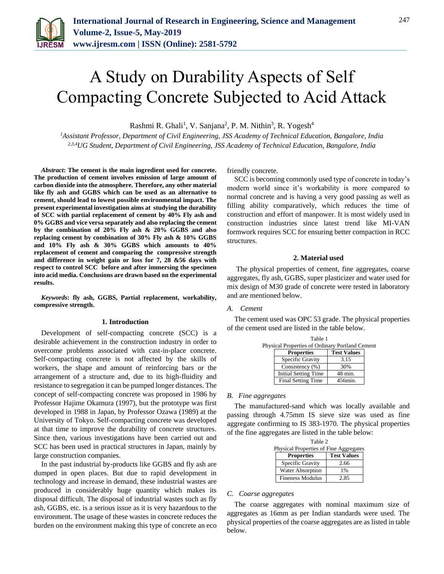

# A Study on Durability Aspects of Self Compacting Concrete Subjected to Acid Attack

Rashmi R. Ghali<sup>1</sup>, V. Sanjana<sup>2</sup>, P. M. Nithin<sup>3</sup>, R. Yogesh<sup>4</sup>

*<sup>1</sup>Assistant Professor, Department of Civil Engineering, JSS Academy of Technical Education, Bangalore, India 2,3,4UG Student, Department of Civil Engineering, JSS Academy of Technical Education, Bangalore, India*

*Abstract***: The cement is the main ingredient used for concrete. The production of cement involves emission of large amount of carbon dioxide into the atmosphere. Therefore, any other material like fly ash and GGBS which can be used as an alternative to cement, should lead to lowest possible environmental impact. The present experimental investigation aims at studying the durability of SCC with partial replacement of cement by 40% Fly ash and 0% GGBS and vice versa separately and also replacing the cement by the combination of 20% Fly ash & 20% GGBS and also replacing cement by combination of 30% Fly ash & 10% GGBS and 10% Fly ash & 30% GGBS which amounts to 40% replacement of cement and comparing the compressive strength and difference in weight gain or loss for 7, 28 &56 days with respect to control SCC before and after immersing the specimen into acid media. Conclusions are drawn based on the experimental results.** 

*Keywords***: fly ash, GGBS, Partial replacement, workability, compressive strength.** 

## **1. Introduction**

Development of self-compacting concrete (SCC) is a desirable achievement in the construction industry in order to overcome problems associated with cast-in-place concrete. Self-compacting concrete is not affected by the skills of workers, the shape and amount of reinforcing bars or the arrangement of a structure and, due to its high-fluidity and resistance to segregation it can be pumped longer distances. The concept of self-compacting concrete was proposed in 1986 by Professor Hajime Okamura (1997), but the prototype was first developed in 1988 in Japan, by Professor Ozawa (1989) at the University of Tokyo. Self-compacting concrete was developed at that time to improve the durability of concrete structures. Since then, various investigations have been carried out and SCC has been used in practical structures in Japan, mainly by large construction companies.

In the past industrial by-products like GGBS and fly ash are dumped in open places. But due to rapid development in technology and increase in demand, these industrial wastes are produced in considerably huge quantity which makes its disposal difficult. The disposal of industrial wastes such as fly ash, GGBS, etc. is a serious issue as it is very hazardous to the environment. The usage of these wastes in concrete reduces the burden on the environment making this type of concrete an eco

friendly concrete.

SCC is becoming commonly used type of concrete in today's modern world since it's workability is more compared to normal concrete and is having a very good passing as well as filling ability comparatively, which reduces the time of construction and effort of manpower. It is most widely used in construction industries since latest trend like MI-VAN formwork requires SCC for ensuring better compaction in RCC structures.

#### **2. Material used**

The physical properties of cement, fine aggregates, coarse aggregates, fly ash, GGBS, super plasticizer and water used for mix design of M30 grade of concrete were tested in laboratory and are mentioned below.

#### *A. Cement*

The cement used was OPC 53 grade. The physical properties of the cement used are listed in the table below.

| Table 1 |                                                 |                    |  |  |  |
|---------|-------------------------------------------------|--------------------|--|--|--|
|         | Physical Properties of Ordinary Portland Cement |                    |  |  |  |
|         | <b>Properties</b>                               | <b>Test Values</b> |  |  |  |
|         | Specific Gravity                                | 3.15               |  |  |  |
|         | Consistency (%)                                 | 30%                |  |  |  |
|         | <b>Initial Setting Time</b>                     | 48 min.            |  |  |  |
|         | <b>Final Setting Time</b>                       | 456min.            |  |  |  |

#### *B. Fine aggregates*

The manufactured-sand which was locally available and passing through 4.75mm IS sieve size was used as fine aggregate confirming to IS 383-1970. The physical properties of the fine aggregates are listed in the table below:

| Table 2<br>Physical Properties of Fine Aggregates |                    |  |  |
|---------------------------------------------------|--------------------|--|--|
| <b>Properties</b>                                 | <b>Test Values</b> |  |  |
| Specific Gravity                                  | 2.66               |  |  |
| Water Absorption                                  | $1\%$              |  |  |
| <b>Fineness Modulus</b>                           | 2.85               |  |  |

## *C. Coarse aggregates*

The coarse aggregates with nominal maximum size of aggregates as 16mm as per Indian standards were used. The physical properties of the coarse aggregates are as listed in table below.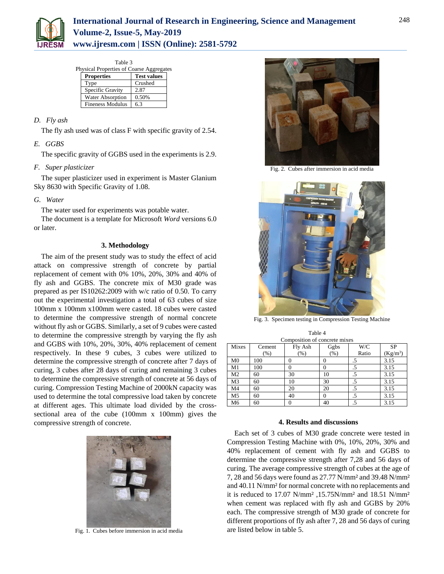

Table 3

| Physical Properties of Coarse Aggregates |                    |  |
|------------------------------------------|--------------------|--|
| <b>Properties</b>                        | <b>Test values</b> |  |
| Type                                     | Crushed            |  |
| Specific Gravity                         | 2.87               |  |
| <b>Water Absorption</b>                  | 0.50%              |  |
| <b>Fineness Modulus</b>                  | 63                 |  |

# *D. Fly ash*

The fly ash used was of class F with specific gravity of 2.54.

# *E. GGBS*

The specific gravity of GGBS used in the experiments is 2.9.

## *F. Super plasticizer*

The super plasticizer used in experiment is Master Glanium Sky 8630 with Specific Gravity of 1.08.

## *G. Water*

The water used for experiments was potable water.

The document is a template for Microsoft *Word* versions 6.0 or later.

## **3. Methodology**

The aim of the present study was to study the effect of acid attack on compressive strength of concrete by partial replacement of cement with 0% 10%, 20%, 30% and 40% of fly ash and GGBS. The concrete mix of M30 grade was prepared as per IS10262:2009 with w/c ratio of 0.50. To carry out the experimental investigation a total of 63 cubes of size 100mm x 100mm x100mm were casted. 18 cubes were casted to determine the compressive strength of normal concrete without fly ash or GGBS. Similarly, a set of 9 cubes were casted to determine the compressive strength by varying the fly ash and GGBS with 10%, 20%, 30%, 40% replacement of cement respectively. In these 9 cubes, 3 cubes were utilized to determine the compressive strength of concrete after 7 days of curing, 3 cubes after 28 days of curing and remaining 3 cubes to determine the compressive strength of concrete at 56 days of curing. Compression Testing Machine of 2000kN capacity was used to determine the total compressive load taken by concrete at different ages. This ultimate load divided by the crosssectional area of the cube (100mm x 100mm) gives the compressive strength of concrete.



Fig. 1. Cubes before immersion in acid media



Fig. 2. Cubes after immersion in acid media



Fig. 3. Specimen testing in Compression Testing Machine

| Table 4                       |  |  |  |  |
|-------------------------------|--|--|--|--|
| Composition of concrete mixes |  |  |  |  |

| Mixes          | Cement | Fly Ash | Ggbs | W/C   | SP         |
|----------------|--------|---------|------|-------|------------|
|                | $(\%)$ | $(\% )$ | (% ) | Ratio | $(Kg/m^3)$ |
| M <sub>0</sub> | 100    |         |      |       | 3.15       |
| M1             | 100    |         |      | .5    | 3.15       |
| M <sub>2</sub> | 60     | 30      | 10   | .5    | 3.15       |
| M3             | 60     | 10      | 30   | .5    | 3.15       |
| M <sub>4</sub> | 60     | 20      | 20   | .5    | 3.15       |
| M <sub>5</sub> | 60     | 40      |      | .5    | 3.15       |
| M6             | 60     |         | 40   | .5    | 3.15       |

## **4. Results and discussions**

Each set of 3 cubes of M30 grade concrete were tested in Compression Testing Machine with 0%, 10%, 20%, 30% and 40% replacement of cement with fly ash and GGBS to determine the compressive strength after 7,28 and 56 days of curing. The average compressive strength of cubes at the age of 7, 28 and 56 days were found as 27.77 N/mm² and 39.48 N/mm² and 40.11 N/mm² for normal concrete with no replacements and it is reduced to 17.07 N/mm² ,15.75N/mm² and 18.51 N/mm² when cement was replaced with fly ash and GGBS by 20% each. The compressive strength of M30 grade of concrete for different proportions of fly ash after 7, 28 and 56 days of curing are listed below in table 5.